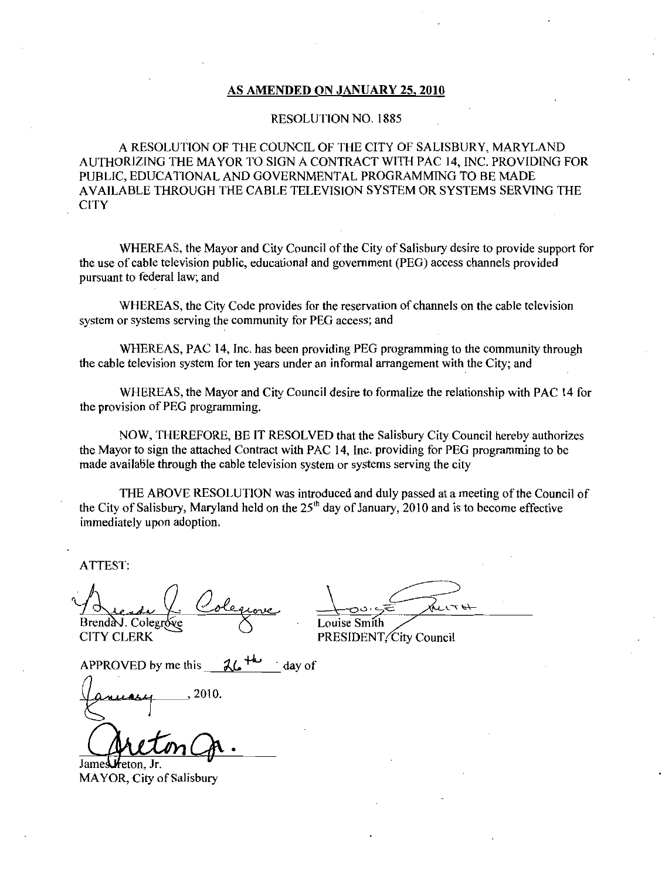#### AS AMENDED ON JANUARY 25, 2010

#### RESOLUTION NO. 1885

A RESOLUTION OF THE COUNCIL OF THE CITY OF SALISBURY, MARYLAND AUTHORIZING THE MAYOR TO SIGN A CONTRACT WITH PAC 14 INC PROVIDING FOR PUBLIC EDUCATIONAL AND GOVERNMENTAL PROGRAMMING TO BE MADE AVAILABLE THROUGH THE CABLE TELEVISION SYSTEM OR SYSTEMS SERVING THE **CITY** 

WHEREAS, the Mayor and City Council of the City of Salisbury desire to provide support for the use of cable television public, educational and government (PEG) access channels provided pursuant to federal law; and

WHEREAS, the City Code provides for the reservation of channels on the cable television system or systems serving the community for PEG access; and

WHEREAS, PAC 14, Inc. has been providing PEG programming to the community through the cable television system for ten years under an informal arrangement with the City; and

WHEREAS the Mayor and City Council desire to formalize the relationship with PAC <sup>14</sup> for the provision of PEG programming.

NOW THEREFORE BE IT RESOLVED that the Salisbury City Council hereby authorizes the Mayor to sign the attached Contract with PAC 14, Inc. providing for PEG programming to be made available through the cable television system or systems serving the city

THE ABOVE RESOLUTION was introduced and duly passed at a meeting of the Council of the City of Salisbury, Maryland held on the  $25<sup>th</sup>$  day of January, 2010 and is to become effective immediately upon adoption

ATTEST

Brenda J. Colegrove (Supervisor Louise Smith CITY CLERK PRESIDENT City Council 10005 Render Colequone Louise Smith<br>Brendar Colegrove CITY CLERK PRESIDENT, City Council

APPROVED by me this  $24.74$  day of

reton Ir

James MAYOR, City of Salisbury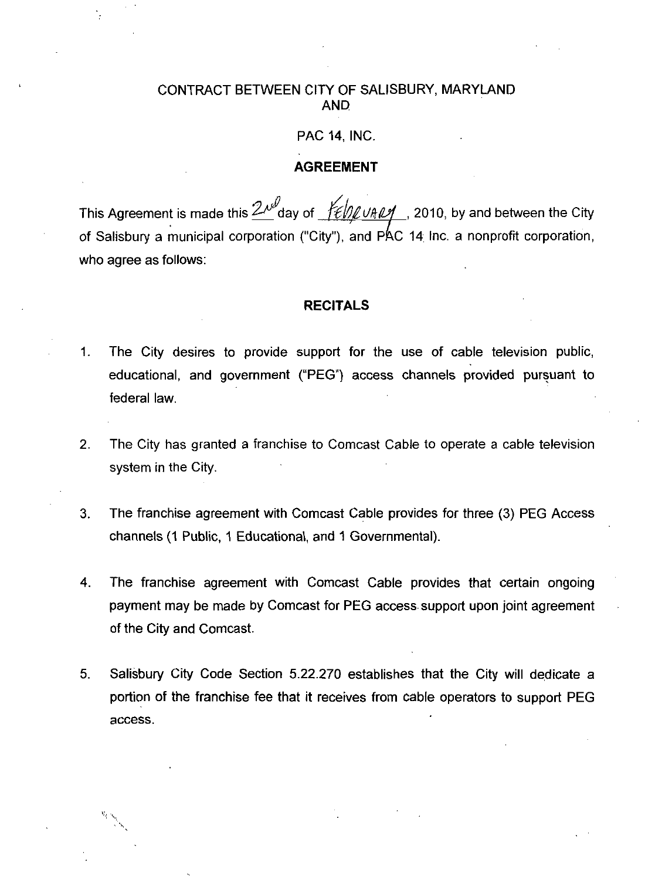#### CONTRACT BETWEEN CITY OF SALISBURY, MARYLAND AND

#### **PAC 14. INC.**

#### AGREEMENT

This Agreement is made this  $\frac{2\lambda^{d}}{d}$ day of  $\frac{1}{2}$   $\frac{d}{d}$   $\frac{d}{d}$  2010, by and between the City PAC 14, INC.<br> **AGREEMENT**<br>
This Agreement is made this  $2\mu^{\beta}$ day of  $\frac{1}{2}\frac{1}{2}$   $\frac{1}{2}$  ( $\frac{1}{2}$   $\frac{1}{2}$   $\frac{1}{2}$   $\frac{1}{2}$   $\frac{1}{2}$   $\frac{1}{2}$   $\frac{1}{2}$   $\frac{1}{2}$   $\frac{1}{2}$   $\frac{1}{2}$   $\frac{1}{2}$   $\frac{1}{2}$   $\frac$ who agree as follows

#### RECITALS

- 1. The City desires to provide support for the use of cable television public, educational, and government ("PEG") access channels provided pursuant to federal law
- 2. The City has granted a franchise to Comcast Cable to operate a cable television system in the City
- 3. The franchise agreement with Comcast Cable provides for three (3) PEG Access channels (1 Public, 1 Educational, and 1 Governmental).
- 4 The franchise agreement with Comcast Cable provides that certain ongoing payment may be made by Comcast for PEG access support upon joint agreement of the City and Comcast
- 5. Salisbury City Code Section 5.22.270 establishes that the City will dedicate a portion of the franchise fee that it receives from cable operators to support PEG access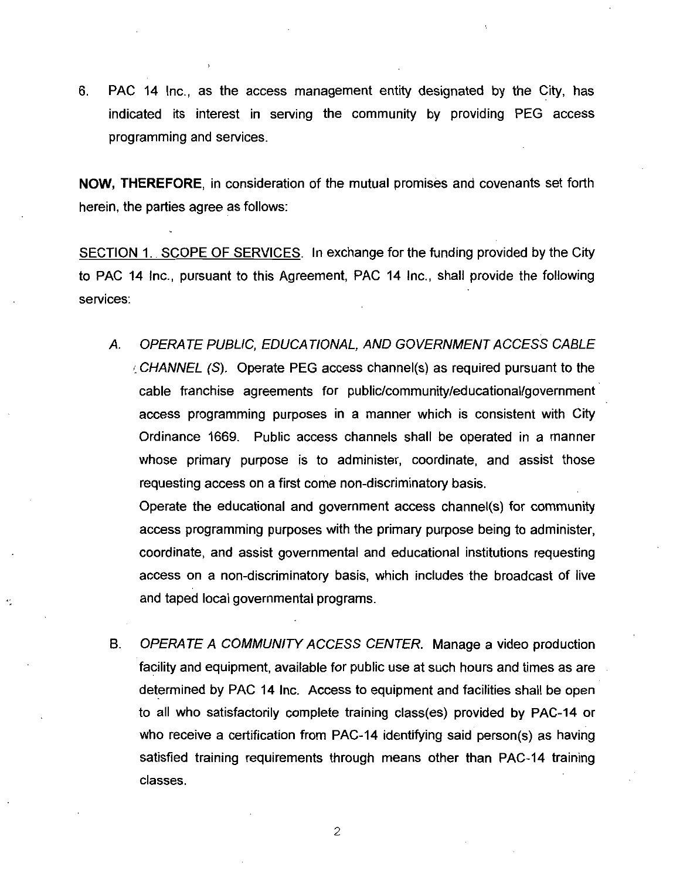6. PAC 14 Inc., as the access management entity designated by the City, has indicated its interest in serving the community by providing PEG access programming and services

NOW, THEREFORE, in consideration of the mutual promises and covenants set forth herein, the parties agree as follows:

SECTION 1. SCOPE OF SERVICES. In exchange for the funding provided by the City to PAC 14 Inc., pursuant to this Agreement, PAC 14 Inc., shall provide the following services

A. OPERATE PUBLIC, EDUCATIONAL, AND GOVERNMENT ACCESS CABLE<br>CHANNEL (S). Operate PEG access channel(s) as required pursuant to the<br>cable franchise agreements for public/community/educational/government<br>access programming p Finc., pursuant to this Agreement, PAC 14 Inc., shall provide the following<br>OPERATE PUBLIC, EDUCATIONAL, AND GOVERNMENT ACCESS CABLE<br>CHANNEL (S). Operate PEG access channel(s) as required pursuant to the<br>cable franchise ag access programming purposes in <sup>a</sup> manner which is consistent with City Ordinance 1669. Public access channels shall be operated in a manner whose primary purpose is to administer, coordinate, and assist those whose primary purpose is to administer, coordinate,<br>requesting access on a first come non-discriminatory basis. access programming purposes in a manner which is consistent with City<br>Ordinance 1669. Public access channels shall be operated in a manner<br>whose primary purpose is to administer, coordinate, and assist those<br>requesting acc

access programming purposes with the primary purpose being to administer coordinate, and assist governmental and educational institutions requesting<br>access on a non-discriminatory basis, which includes the broadcast of live and taped local governmental programs

B. OPERATE A COMMUNITY ACCESS CENTER. Manage a video production facility and equipment, available for public use at such hours and times as are determined by PAC 14 Inc. Access to equipment and facilities shall be open to all who satisfactorily complete training class(es) provided by P determined by PAC 14 Inc. Access to equipment and facilities shall be open<br>to all who satisfactorily complete training class(es) provided by PAC-14 or who receive a certification from PAC-14 identifying said person(s) as having<br>satisfied training requirements through means other than PAC-14 training classes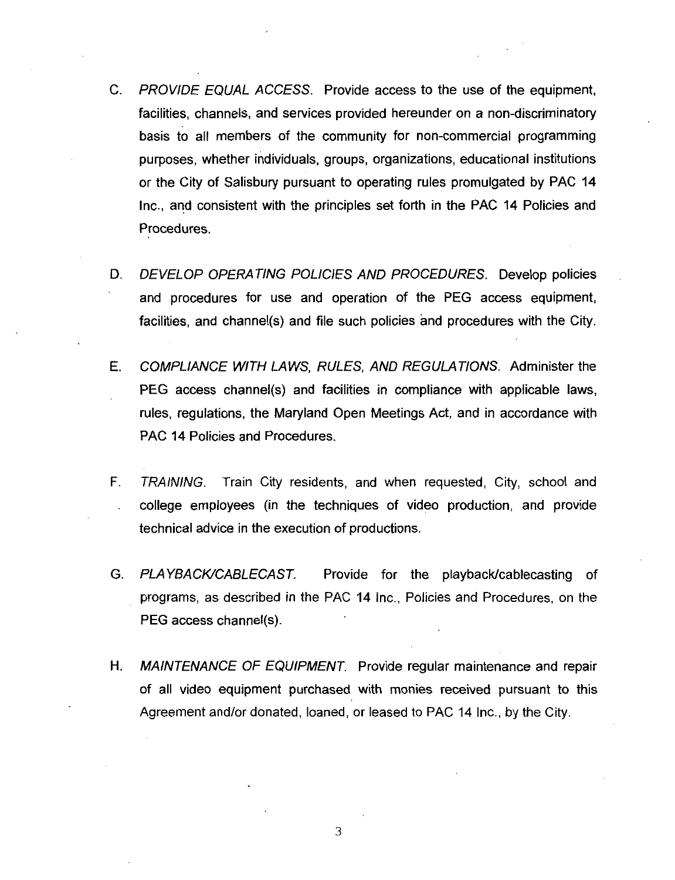- C. PROVIDE EQUAL ACCESS. Provide access to the use of the equipment,<br>facilities, channels, and services provided hereunder on a non-discriminatory facilities, channels, and services provided hereunder on a non-discriminatory basis to all members of the community for non-commercial programming purposes, whether individuals, groups, organizations, educational institutions or the City of Salisbury pursuant to operating rules promulgated by PAC 14 Inc., and consistent with the principles set forth in the PAC 14 Policies and Procedures
- D. DEVELOP OPERATING POLICIES AND PROCEDURES. Develop policies and procedures for use and operation of the PEG access equipment Procedures.<br>DEVELOP OPERATING POLICIES AND PROCEDURES. Develop policies<br>and procedures for use and operation of the PEG access equipment,<br>facilities, and channel(s) and file such policies and procedures with the City.
- E. COMPLIANCE WITH LAWS, RULES, AND REGULATIONS. Administer the facilities, and channel(s) and file such policies and procedures with the City.<br>COMPLIANCE WITH LAWS, RULES, AND REGULATIONS. Administer the<br>PEG access channel(s) and facilities in compliance with applicable laws,<br>rules, r rules, regulations, the Maryland Open Meetings Act, and in accordance with PAC 14 Policies and Procedures.
- F. TRAINING. Train City residents, and when requested, City, school and college employees in the techniques of video production and provide technical advice in the execution of productions
- G. PLAYBACK/CABLECAST. Provide for the playback/cablecasting of programs, as described in the PAC 14 Inc., Policies and Procedures, on the PLAYBACK/CABLECAS<br>PLAYBACK/CABLECAS<br>programs, as described<br>PEG access channel(s)
- H. MAINTENANCE OF EQUIPMENT. Provide regular maintenance and repair of all video equipment purchased with monies received pursuant to this Agreement and/or donated, loaned, or leased to PAC 14 Inc., by the City.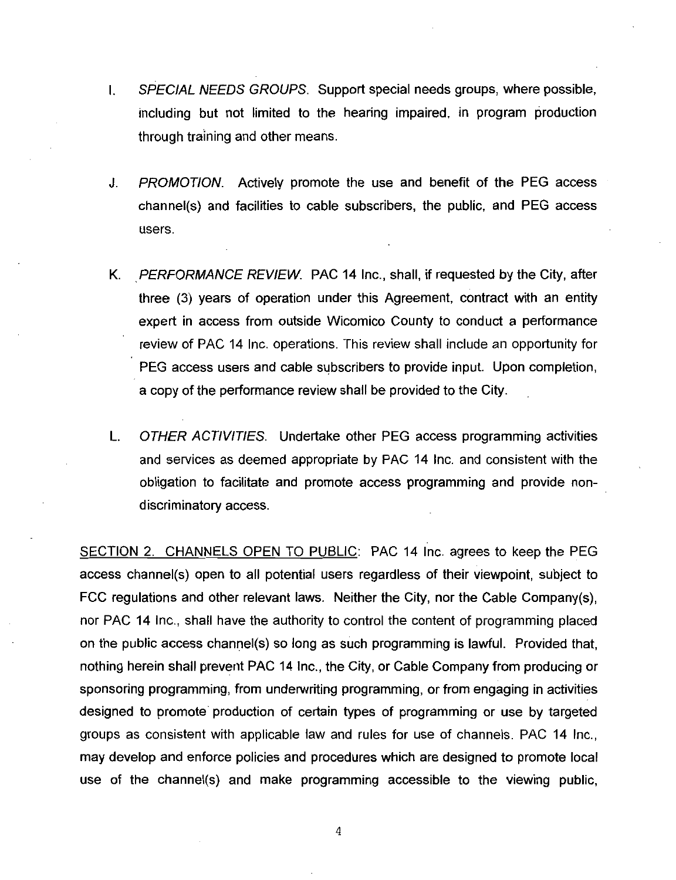- I. SPECIAL NEEDS GROUPS. Support special needs groups, where possible, including but not limited to the hearing impaired, in program production through training and other means
- J. PROMOTION. Actively promote the use and benefit of the PEG access including but not limited to the hearing impaired, in program production<br>through training and other means.<br>PROMOTION. Actively promote the use and benefit of the PEG access<br>channel(s) and facilities to cable subscribers, t users
- K. PERFORMANCE REVIEW. PAC 14 Inc., shall, if requested by the City, after three (3) years of operation under this Agreement, contract with an entity expert in access from outside Wicomico County to conduct <sup>a</sup> performance review of PAC <sup>14</sup> Inc operations This review shall include an opportunity for PEG access users and cable subscribers to provide input. Upon completion, <sup>a</sup> copy of the performance review shall be provided to the City
- L. OTHER ACTIVITIES. Undertake other PEG access programming activities and services as deemed appropriate by PAC 14 Inc and consistent with the obligation to facilitate and promote access programming and provide non discriminatory access

SECTION 2. CHANNELS OPEN TO PUBLIC: PAC 14 Inc. agrees to keep the PEG obligation to facilitate and promote access programming and provide non-<br>discriminatory access.<br>SECTION 2. CHANNELS OPEN TO PUBLIC: PAC 14 Inc. agrees to keep the PEG<br>access channel(s) open to all potential users regardles FCC regulations and other relevant laws. Neither the City nor PAC 14 Inc., shall have the authority to control the content of programming placed ramming and provide non-<br>c. agrees to keep the PEG<br>i their viewpoint, subject to<br>nor the Cable Company(s),<br>ent of programming placed SECTION 2. CHANNELS OPEN TO PUBLIC: PAC 14 Inc. agrees to keep the PEG access channel(s) open to all potential users regardless of their viewpoint, subject to FCC regulations and other relevant laws. Neither the City, nor nothing herein shall prevent PAC 14 Inc., the City, or Cable Company from producing or sponsoring programming, from underwriting programming, or from engaging in activities designed to promote production of certain types of programming or use by targeted groups as consistent with applicable law and rules for use of channels. PAC 14 Inc., may develop and enforce policies and procedures which are designed to promote local sponsoring programming, from underwriting programming, or from engaging in activities<br>designed to promote production of certain types of programming or use by targeted<br>groups as consistent with applicable law and rules for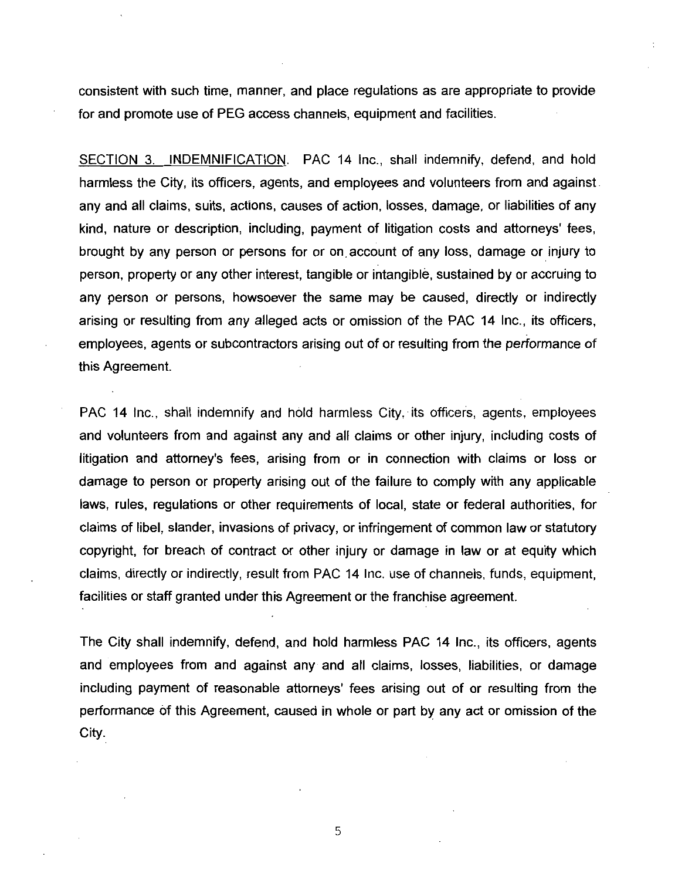consistent with such time, manner, and place regulations as are appropriate to provide for and promote use of PEG access channels, equipment and facilities.

SECTION 3. INDEMNIFICATION. PAC 14 Inc., shall indemnify, defend, and hold harmless the City, its officers, agents, and employees and volunteers from and against. any and all claims, suits, actions, causes of action, losses, damage, or liabilities of any kind, nature or description, including, payment of litigation costs and attorneys' fees. brought by any person or persons for or on account of any loss damage or injury to person, property or any other interest, tangible or intangible, sustained by or accruing to any person or persons, howsoever the same may be caused, directly or indirectly arising or resulting from any alleged acts or omission of the PAC 14 Inc., its officers, employees, agents or subcontractors arising out of or resulting from the performance of this Agreement

PAC 14 Inc., shall indemnify and hold harmless City, its officers, agents, employees and volunteers from and against any and all claims or other injury including costs of PAC 14 Inc., shall indemnify and hold harmless City, its officers, agents, employees<br>and volunteers from and against any and all claims or other injury, including costs of<br>litigation and attorney's fees, arising from or in damage to person or property arising out of the failure to comply with any applicable laws, rules, regulations or other requirements of local, state or federal authorities, for claims of libel, slander, invasions of privacy, or infringement of common law or statutory copyright, for breach of contract or other injury or damage in law or at equity which claims, directly or indirectly, result from PAC 14 Inc. use of channels, funds, equipment. facilities or staff granted under this Agreement or the franchise agreement.

The City shall indemnify, defend, and hold harmless PAC 14 Inc., its officers, agents and employees from and against any and all claims, losses, liabilities, or damage including payment of reasonable attorneys' fees arising out of or resulting from the performance of this Agreement, caused in whole or part by any act or omission of the City.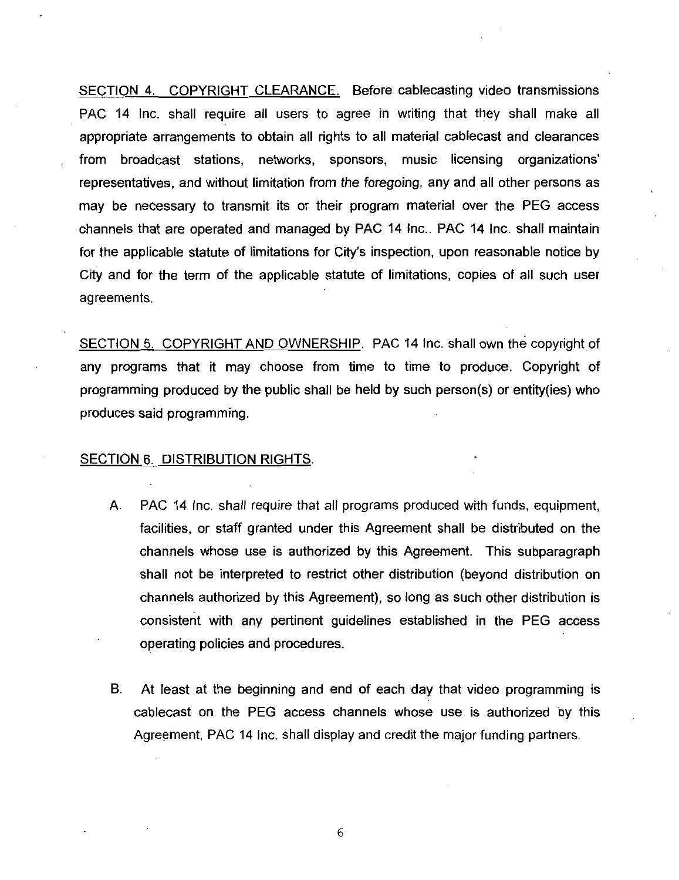SECTION 4. COPYRIGHT CLEARANCE. Before cablecasting video transmissions PAC 14 Inc, shall require all users to agree in writing that they shall make all appropriate arrangements to obtain all rights to all material cablecast and clearances from broadcast stations, networks, sponsors, music licensing organizations' representatives and without limitation from the foregoing any and all other persons as may be necessary to transmit its or their program material over the PEG access channels that are operated and managed by PAC 14 inc.. PAC 14 Inc. shall maintain for the applicable statute of limitations for City's inspection, upon reasonable notice by City and for the term of the applicable statute of limitations, copies of all such user agreements

SECTION 5. COPYRIGHT AND OWNERSHIP. PAC 14 Inc. shall own the copyright of any programs that it may choose from time to time to produce Copyright of SECTION 5. COPYRIGHT AND OWNERSHIP. PAC 14 Inc. shall own the copyright of any programs that it may choose from time to time to produce. Copyright of programming produced by the public shall be held by such person(s) or en produces said programming

#### SECTION 6. DISTRIBUTION RIGHTS.

- A. PAC 14 Inc. shall require that all programs produced with funds, equipment, facilities, or staff granted under this Agreement shall be distributed on the channels whose use is authorized by this Agreement. This subparagraph shall not be interpreted to restrict other distribution beyond distribution on channels authorized by this Agreement), so long as such other distribution is consistent with any pertinent guidelines established in the PEG access operating policies and procedures
- B. At least at the beginning and end of each day that video programming is cablecast on the PEG access channels whose use is authorized by this Agreement, PAC 14 Inc. shall display and credit the major funding partners.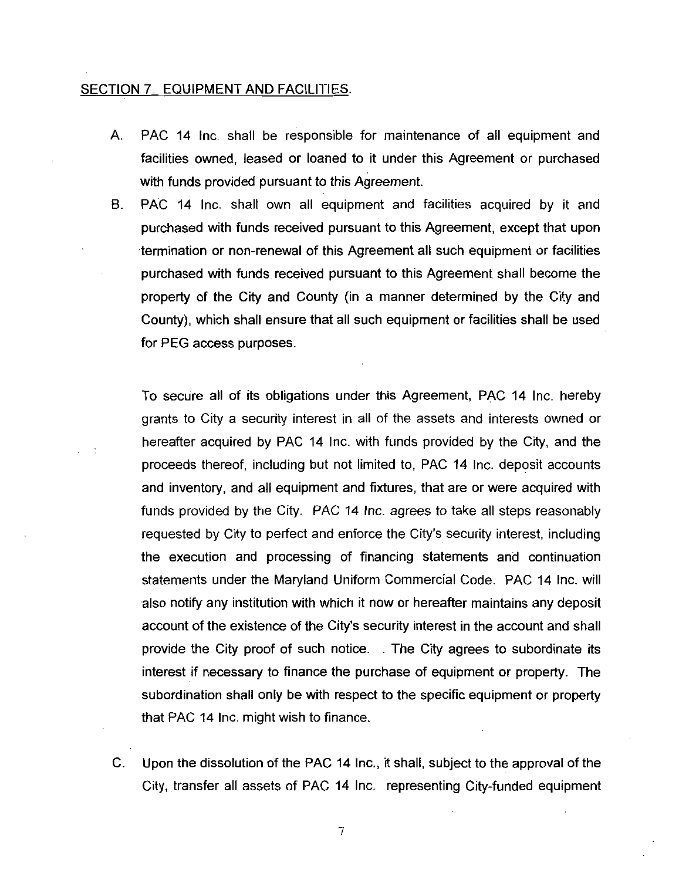#### SECTION 7. EQUIPMENT AND FACILITIES.

- A. PAC 14 Inc. shall be responsible for maintenance of all equipment and facilities owned, leased or loaned to it under this Agreement or purchased with funds provided pursuant to this Agreement.
- B. PAC 14 Inc. shall own all equipment and facilities acquired by it and purchased with funds received pursuant to this Agreement, except that upon termination or non-renewal of this Agreement all such equipment or facilities purchased with funds received pursuant to this Agreement shall become the property of the City and County (in a manner determined by the City and County), which shall ensure that all such equipment or facilities shall be used for PEG access purposes

To secure all of its obligations under this Agreement, PAC 14 Inc. hereby grants to City a security interest in all of the assets and interests owned or hereafter acquired by PAC 14 Inc. with funds provided by the City, and the proceeds thereof, including but not limited to, PAC 14 Inc. deposit accounts and inventory, and all equipment and fixtures, that are or were acquired with funds provided by the City. PAC 14 Inc. agrees to take all steps reasonably requested by City to perfect and enforce the City's security interest, including<br>the execution and processing of financial actoments and continuation the execution and processing of financing statements and continuation statements under the Maryland Uniform Commercial Code. PAC 14 Inc. will also notify any institution with which it now or hereafter maintains any deposit also notify any institution with which it now or hereafter maintains any deposit<br>account of the existence of the City's security interest in the account and shall provide the City proof of such notice. The City agrees to subordinate its interest if necessary to finance the purchase of equipment or property. The subordination shall only be with respect to the specific equipment or property that PAC 14 Inc. might wish to finance.

C. Upon the dissolution of the PAC 14 Inc., it shall, subject to the approval of the City, transfer all assets of PAC 14 Inc. representing City-funded equipment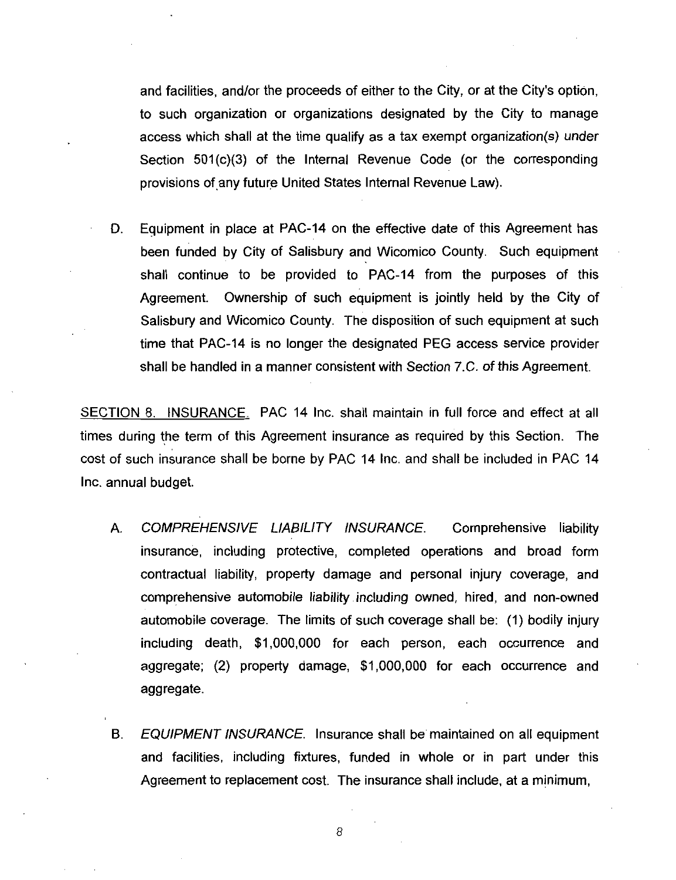and facilities, and/or the proceeds of either to the City, or at the City's option, to such organization or organizations designated by the City to manage and facilities, and/or the proceeds of either to the City, or at the City's option,<br>to such organization or organizations designated by the City to manage<br>access which shall at the time qualify as a tax exempt organization and facilities, and/or the proceeds of either to the City, or at the City's option,<br>to such organization or organizations designated by the City to manage<br>access which shall at the time qualify as a tax exempt organization Section 501(c)(3) of the Internal Revenue Code (or the corresponding<br>provisions of any future United States Internal Revenue Law).

D. Equipment in place at PAC-14 on the effective date of this Agreement has been funded by City of Salisbury and Wicomico County. Such equipment shall continue to be provided to PAC 14 from the purposes of this Agreement. Ownership of such equipment is jointly held by the City of Salisbury and Wicomico County. The disposition of such equipment at such<br>time that PAC-14 is no longer the designated PEG access service provider time that PAC-14 is no longer the designated PEG access service provider<br>shall be handled in a manner consistent with Section 7.C. of this Agreement.

SECTION 8. INSURANCE. PAC 14 Inc. shall maintain in full force and effect at all times during the term of this Agreement insurance as required by this Section. The cost of such insurance shall be borne by PAC 14 Inc and shall be included in PAC <sup>14</sup> Inc. annual budget.

- A. COMPREHENSIVE LIABILITY INSURANCE. Comprehensive liability insurance, including protective, completed operations and broad form contractual liability property damage and personal injury coverage and comprehensive automobile liability including owned, hired, and non-owned automobile coverage. The limits of such coverage shall be:  $(1)$  bodily injury insurance, including protective, completed operations and broad form<br>contractual liability, property damage and personal injury coverage, and<br>comprehensive automobile liability including owned, hired, and non-owned<br>automob contractual liability, property damage and personal injury coverage, and<br>comprehensive automobile liability including owned, hired, and non-owned<br>automobile coverage. The limits of such coverage shall be: (1) bodily injury aggregate.
- B. EQUIPMENT INSURANCE. Insurance shall be maintained on all equipment and facilities, including fixtures, funded in whole or in part under this Agreement to replacement cost. The insurance shall include, at a minimum,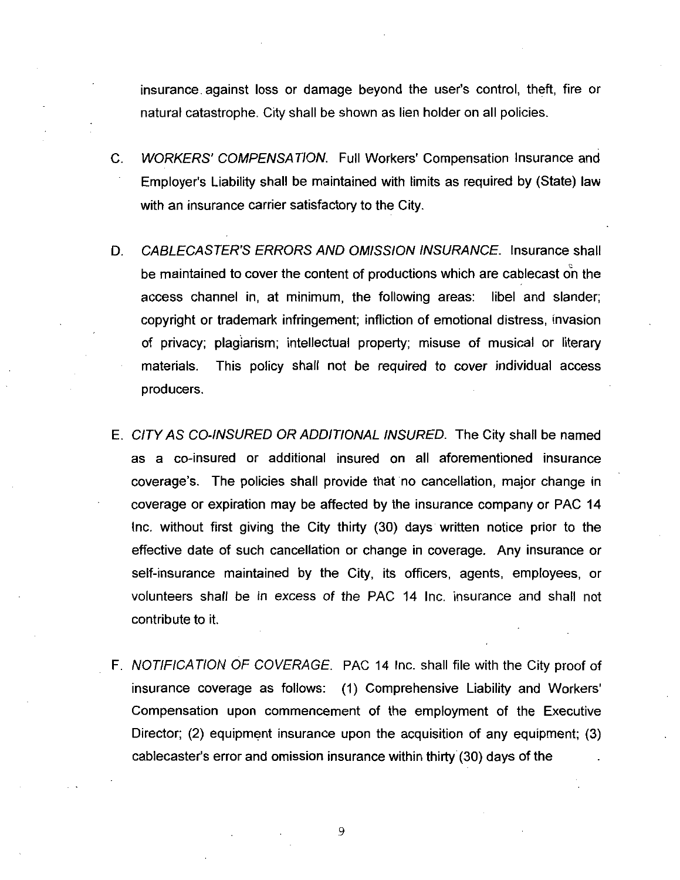insurance against loss or damage beyond the user's control, theft, fire or natural catastrophe. City shall be shown as lien holder on all policies.

- C. WORKERS' COMPENSATION. Full Workers' Compensation Insurance and insurance against loss or damage beyond the user's control, theft, fire or<br>natural catastrophe. City shall be shown as lien holder on all policies.<br>WORKERS' COMPENSATION. Full Workers' Compensation Insurance and<br>Employer's with an insurance carrier satisfactory to the City. C. WORKERS' COMPENSATION. Full Workers' Compensation Insurance and<br>Employer's Liability shall be maintained with limits as required by (State) law<br>with an insurance carrier satisfactory to the City.<br>D. CABLECASTER'S ERRORS
- be maintained to cover the content of productions which are cablecast on the access channel in, at minimum, the following areas: libel and slander: copyright or trademark infringement; infliction of emotional distress, invasion of privacy; plagiarism; intellectual property; misuse of musical or literary materials. This policy shall not be required to cover individual access producers
- .<br>E. CITY AS CO-INSURED OR ADDITIONAL INSURED. The City shall be named CITY AS CO-INSURED OR ADDITIONAL INSURED. The City shall be named<br>as a co-insured or additional insured on all aforementioned insurance producers.<br>CITY AS CO-INSURED OR ADDITIONAL INSURED. The City shall be named<br>as a co-insured or additional insured on all aforementioned insurance<br>coverage's. The policies shall provide that no cancellation, major change i coverage or expiration may be affected by the insurance company or PAC <sup>14</sup> Inc. without first giving the City thirty (30) days written notice prior to the effective date of such cancellation or change in coverage. Any insurance or self-insurance maintained by the City, its officers, agents, employees, or volunteers shall be in excess of the PAC 14 Inc insurance and shall not contribute to it
- F. NOTIFICATION OF COVERAGE. PAC 14 Inc. shall file with the City proof of insurance coverage as follows: (1) Comprehensive Liability and Workers' Compensation upon commencement of the employment of the Executive Director; (2) equipment insurance upon the acquisition of any equipment; (3) NOTIFICATION OF COVERAGE. PAC 14 Inc. shall file with the City<br>insurance coverage as follows: (1) Comprehensive Liability and<br>Compensation upon commencement of the employment of the E<br>Director; (2) equipment insurance upon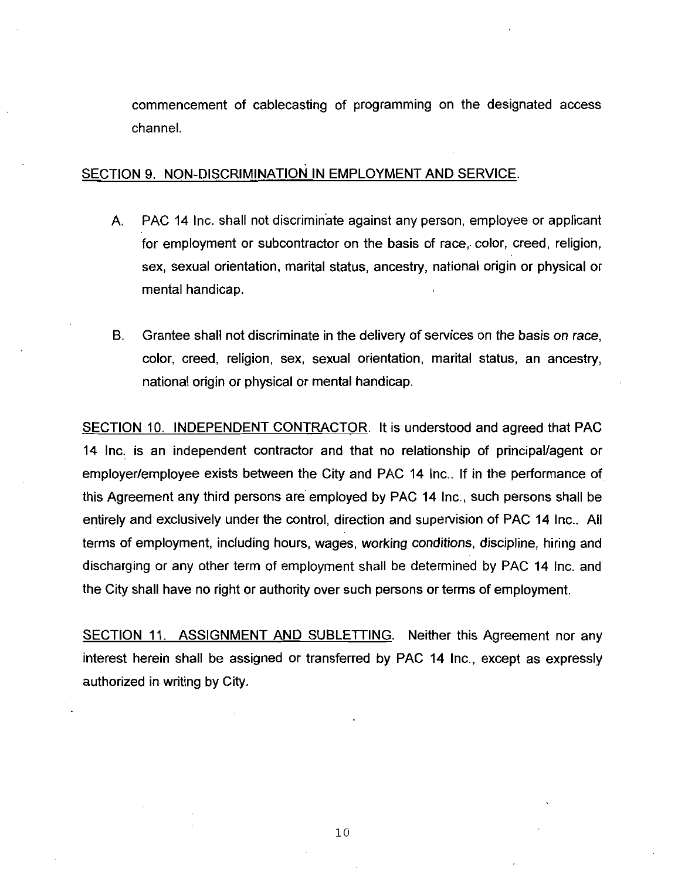commencement of cablecasting of programming on the designated access channel

#### SECTION 9. NON-DISCRIMINATION IN EMPLOYMENT AND SERVICE.

- A. PAC 14 Inc. shall not discriminate against any person, employee or applicant for employment or subcontractor on the basis of race, color, creed, religion, sex, sexual orientation, marital status, ancestry, national origin or physical or mental handicap
- B. Grantee shall not discriminate in the delivery of services on the basis on race. color, creed, religion, sex, sexual orientation, marital status, an ancestry, national origin or physical or mental handicap

SECTION 10. INDEPENDENT CONTRACTOR. It is understood and agreed that PAC 14 Inc. is an independent contractor and that no relationship of principal/agent or employer/employee exists between the City and PAC 14 Inc.. If in the performance of this Agreement any third persons are employed by PAC 14 Inc., such persons shall be entirely and exclusively under the control, direction and supervision of PAC 14 Inc., All terms of employment, including hours, wages, working conditions, discipline, hiring and discharging or any other term of employment shall be determined by PAC 14 Inc. and the City shall have no right or authority over such persons or terms of employment.

SECTION 11. ASSIGNMENT AND SUBLETTING. Neither this Agreement nor any interest herein shall be assigned or transferred by PAC 14 Inc., except as expressly authorized in writing by City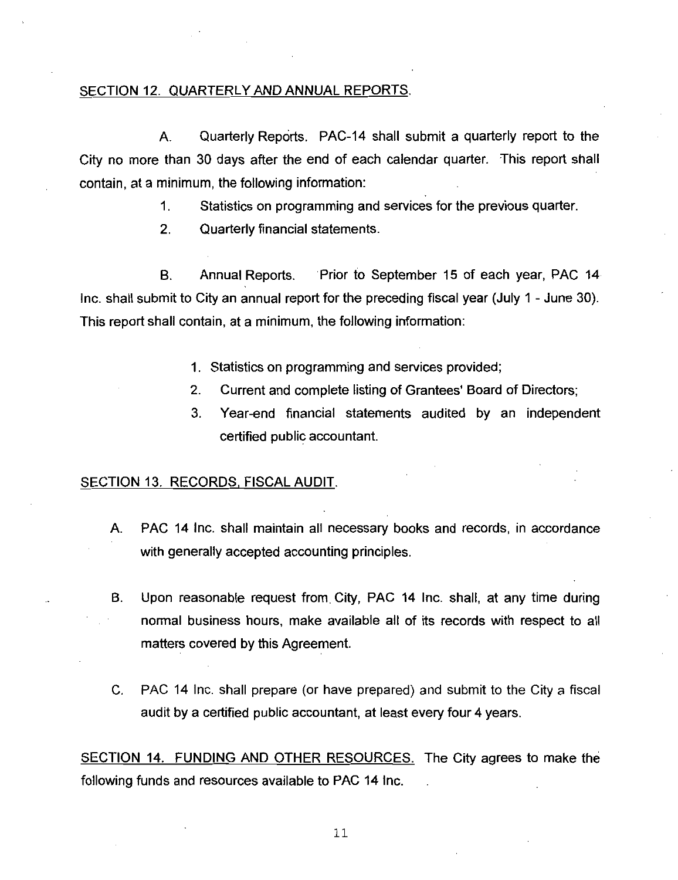#### SECTION 12. QUARTERLY AND ANNUAL REPORTS.

A. Quarterly Reports. PAC-14 shall submit a quarterly report to the City no more than 30 days after the end of each calendar quarter. This report shall contain, at a minimum, the following information:

1. Statistics on programming and services for the previous quarter.

2. Quarterly financial statements.

B. Annual Reports. Prior to September 15 of each year, PAC 14 Inc. shall submit to City an annual report for the preceding fiscal year (July  $1$  - June 30). This report shall contain, at a minimum, the following information:

- 1. Statistics on programming and services provided;
- 2. Current and complete listing of Grantees' Board of Directors;
- 3. Year-end financial statements audited by an independent certified public accountant

#### SECTION 13. RECORDS, FISCAL AUDIT.

- A. PAC 14 Inc. shall maintain all necessary books and records, in accordance with generally accepted accounting principles.
- B. Upon reasonable request from City, PAC 14 Inc. shall, at any time during normal business hours, make available all of its records with respect to all matters covered by this Agreement
- C. PAC 14 Inc. shall prepare (or have prepared) and submit to the City a fiscal audit by a certified public accountant, at least every four 4 years.

SECTION 14. FUNDING AND OTHER RESOURCES. The City agrees to make the following funds and resources available to PAC 14 Inc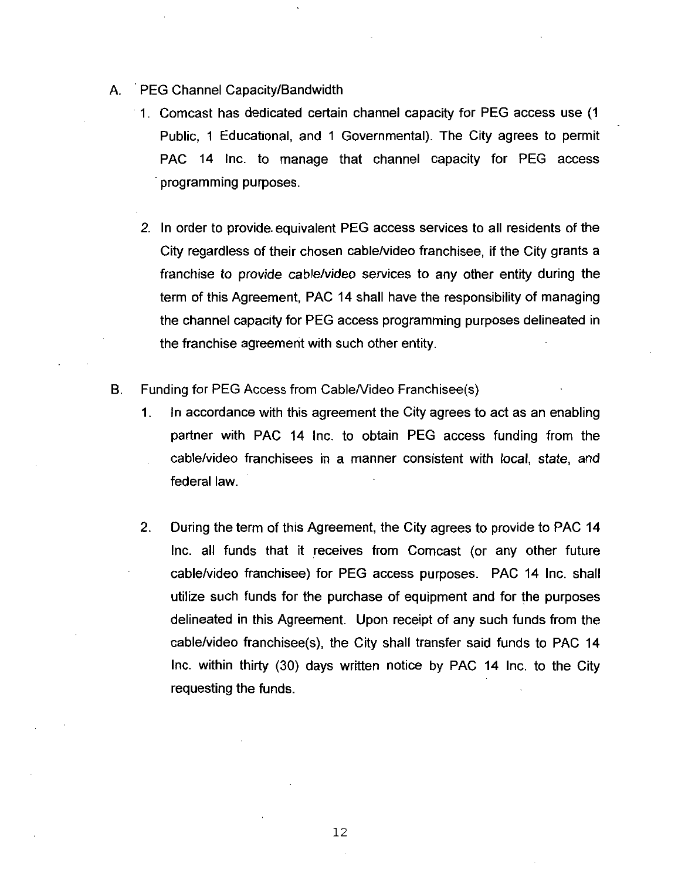- A. PEG Channel Capacity/Bandwidth
	- 1. Comcast has dedicated certain channel capacity for PEG access use (1) Public, 1 Educational, and 1 Governmental). The City agrees to permit PAC 14 Inc. to manage that channel capacity for PEG access programming purposes
	- 2 In order to provide equivalent PEG access services to all residents of the City regardless of their chosen cable/video franchisee, if the City grants a franchise to provide cable/video services to any other entity during the term of this Agreement, PAC 14 shall have the responsibility of managing the channel capacity for PEG access programming purposes delineated in the franchise agreement with such other entity es to any othe<br>ave the responsing<br>entity.<br>Franchisee (s)<br>City agrees to
- B. Funding for PEG Access from Cable/Video
	- 1. In accordance with this agreement the City agrees to act as an enabling partner with PAC 14 Inc. to obtain PEG access funding from the cable/video franchisees in a manner consistent with local, state, and federal law
	- 2. During the term of this Agreement, the City agrees to provide to PAC 14 Inc. all funds that it receives from Comcast (or any other future cable/video franchisee) for PEG access purposes. PAC 14 Inc. shall utilize such funds for the purchase of equipment and for the purposes delineated in this Agreement. Upon receipt of any such funds from the During the term of this Agreement, the City agrees to provide to PAC 14<br>Inc. all funds that it receives from Comcast (or any other future<br>cable/video franchisee) for PEG access purposes. PAC 14 Inc. shall<br>utilize such fund Inc. within thirty (30) days written notice by PAC 14 Inc. to the City requesting the funds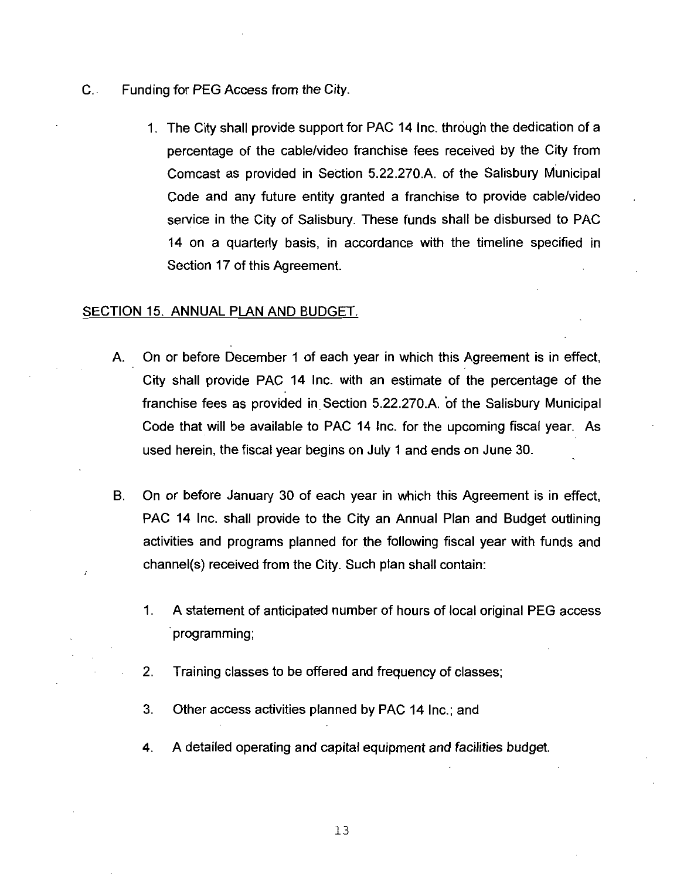- C. Funding for PEG Access from the City.
- 1. The City shall provide support for PAC 14 Inc. through the dedication of a percentage of the cable/video franchise fees received by the City from g for PEG Access from the City.<br>The City shall provide support for PAC 14 Inc. through the dedication of a<br>percentage of the cable/video franchise fees received by the City from<br>Comcast as provided in Section 5.22.270.A. o Comcast as provided in Section 5.22.270.A. of the Salisbury Municipal<br>Code and any future entity granted a franchise to provide cable/video service in the City of Salisbury. These funds shall be disbursed to PAC 14 on a quarterly basis, in accordance with the timeline specified in Section 17 of this Agreement

#### SECTION 15. ANNUAL PLAN AND BUDGET.

- A. On or before December 1 of each year in which this Agreement is in effect, City shall provide PAC <sup>14</sup> Inc with an estimate of the percentage of the FRANCIAL PLAN AND BUDGET.<br>
On or before December 1 of each year in which this Agreement is in effect<br>
City shall provide PAC 14 Inc. with an estimate of the percentage of the<br>
franchise fees as provided in Section 5.22.270 Code that will be available to PAC 14 Inc. for the upcoming fiscal year. As used herein, the fiscal year begins on July 1 and ends on June 30.
- B. On or before January 30 of each year in which this Agreement is in effect, PAC 14 Inc. shall provide to the City an Annual Plan and Budget outlining activities and programs planned for the following fiscal year with funds and On or before January 30 of each year in which this Agreed PAC 14 Inc. shall provide to the City an Annual Plan and activities and programs planned for the following fiscal y channel(s) received from the City. Such plan sha
	- 1 <sup>A</sup> statement of anticipated number of hours of local original PEG access programming
	- 2. Training classes to be offered and frequency of classes;
	- 3. Other access activities planned by PAC 14 Inc.; and
	- 4. A detailed operating and capital equipment and facilities budget.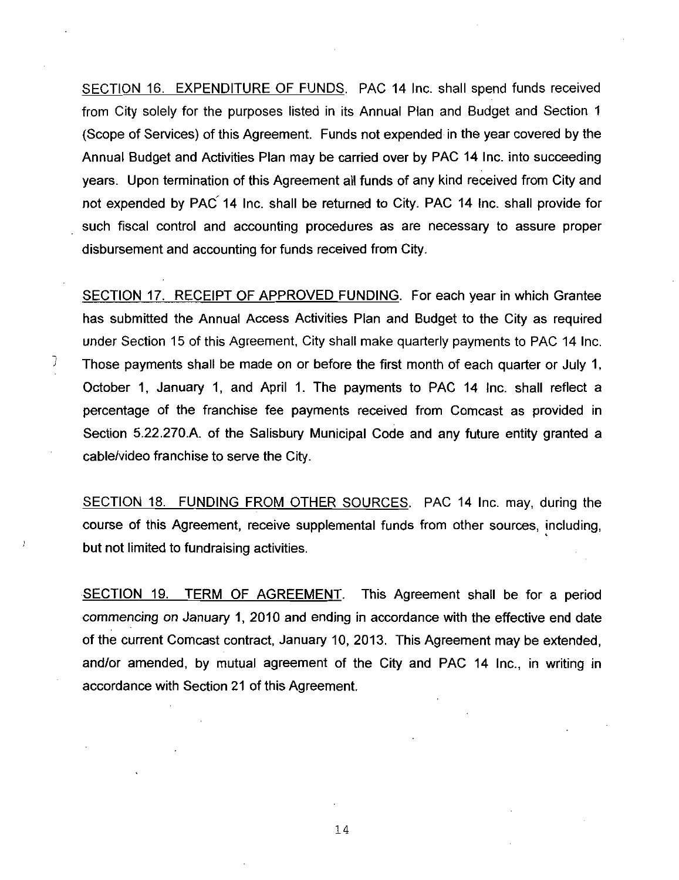SECTION 16. EXPENDITURE OF FUNDS. PAC 14 Inc. shall spend funds received from City solely for the purposes listed in its Annual Plan and Budget and Section <sup>1</sup> (Scope of Services) of this Agreement. Funds not expended in the year covered by the Annual Budget and Activities Plan may be carried over by PAC <sup>14</sup> Inc into succeeding years. Upon termination of this Agreement all funds of any kind received from City and not expended by PAC 14 Inc. shall be returned to City. PAC 14 Inc. shall provide for such fiscal control and accounting procedures as are necessary to assure proper disbursement and accounting for funds received from City

SECTION 17. RECEIPT OF APPROVED FUNDING. For each year in which Grantee has submitted the Annual Access Activities Plan and Budget to the City as required under Section 15 of this Agreement, City shall make quarterly payments to PAC 14 Inc. Those payments shall be made on or before the first month of each quarter or July 1 October 1, January 1, and April 1. The payments to PAC 14 Inc. shall reflect a percentage of the franchise fee payments received from Comcast as provided in under Section 15 of this Agreement, City shall make quarterly payments to PAC 14 Inc.<br>Those payments shall be made on or before the first month of each quarter or July 1,<br>October 1, January 1, and April 1. The payments to Section 5.22.270.A. of the Salisbury Municipal Code and any future entity granted a cable/video franchise to serve the City.

J

SECTION 18. FUNDING FROM OTHER SOURCES. PAC 14 Inc. may, during the course of this Agreement, receive supplemental funds from other sources, including, but not limited to fundraising activities

SECTION 19. TERM OF AGREEMENT. This Agreement shall be for a period commencing on January 1, 2010 and ending in accordance with the effective end date of the current Comcast contract, January 10, 2013. This Agreement may be extended, and/or amended, by mutual agreement of the City and PAC 14 Inc., in writing in accordance with Section 21 of this Agreement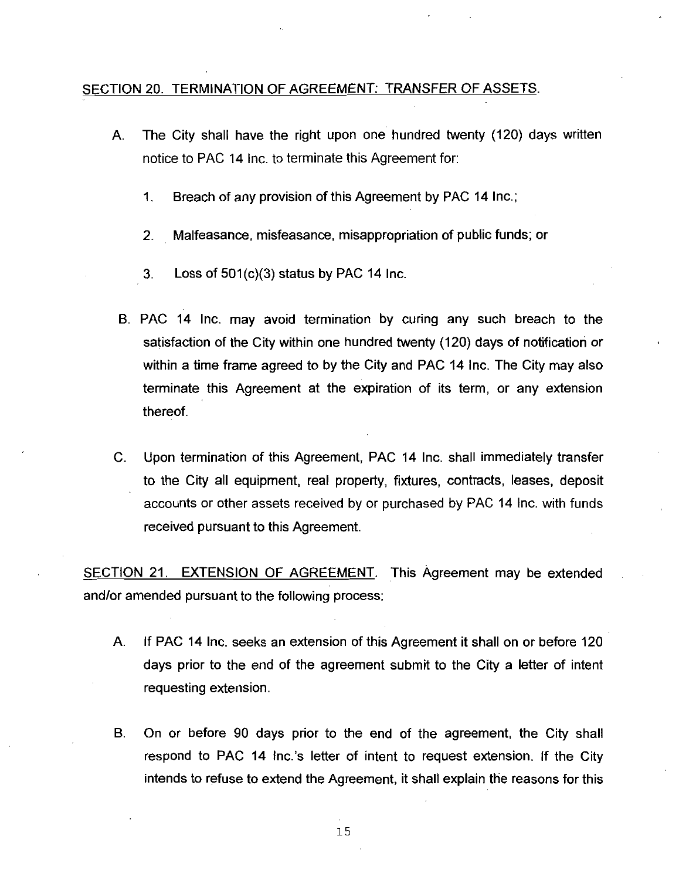#### SECTION 20. TERMINATION OF AGREEMENT: TRANSFER OF ASSETS.

- A. The City shall have the right upon one hundred twenty (120) days written notice to PAC 14 Inc. to terminate this Agreement for:
	- 1. Breach of any provision of this Agreement by PAC 14 Inc.;
	- 2. Malfeasance, misfeasance, misappropriation of public funds; or <sup>3</sup> Loss of501 c3status by PAC <sup>14</sup> Inc
	-
- B. PAC 14 Inc. may avoid termination by curing any such breach to the satisfaction of the City within one hundred twenty (120) days of notification or within a time frame agreed to by the City and PAC 14 Inc. The City may also terminate this Agreement at the expiration of its term, or any extension thereof
- C. Upon termination of this Agreement, PAC 14 Inc. shall immediately transfer to the City all equipment, real property, fixtures, contracts, leases, deposit accounts or other assets received by or purchased by PAC <sup>14</sup> Inc with funds received pursuant to this Agreement

SECTION 21. EXTENSION OF AGREEMENT. This Agreement may be extended and/or amended pursuant to the following process:

- A. If PAC 14 Inc. seeks an extension of this Agreement it shall on or before 120 days prior to the end of the agreement submit to the City <sup>a</sup> letter of intent requesting extension
- B. On or before 90 days prior to the end of the agreement, the City shall<br>respond to PAC 14 Inc.'s letter of intent to request extension. If the City intends to refuse to extend the Agreement, it shall explain the reasons for this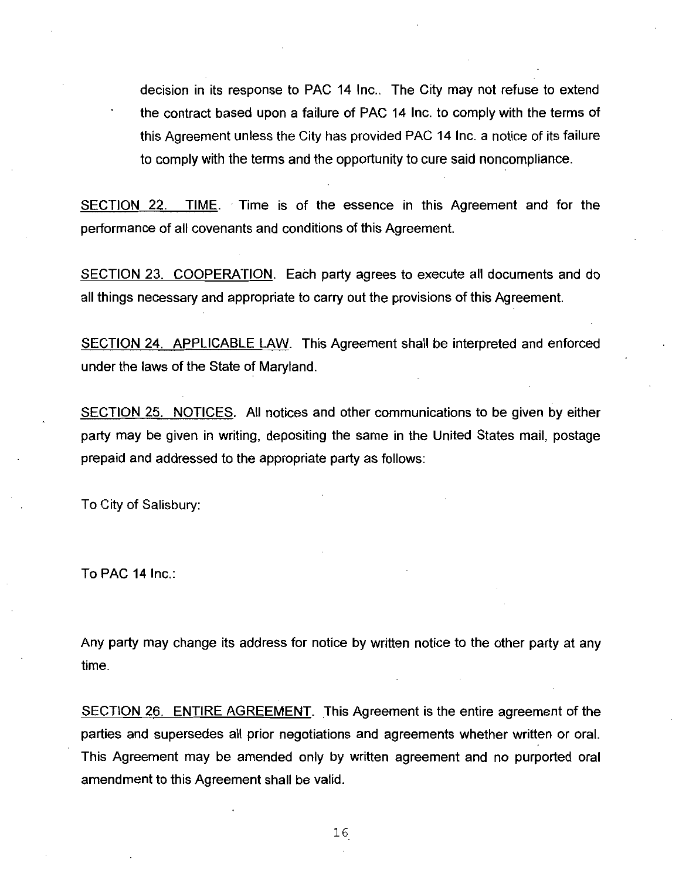decision in its response to PAC 14 Inc.. The City may not refuse to extend the contract based upon <sup>a</sup> failure of PAC <sup>14</sup> Inc to comply with the terms of this Agreement unless the City has provided PAC <sup>14</sup> Inc <sup>a</sup> notice of its failure to comply with the terms and the opportunity to cure said noncompliance

SECTION 22. TIME. Time is of the essence in this Agreement and for the performance of all covenants and conditions of this Agreement

SECTION 23. COOPERATION. Each party agrees to execute all documents and do all things necessary and appropriate to carry out the provisions of this Agreement

SECTION 24. APPLICABLE LAW. This Agreement shall be interpreted and enforced under the laws of the State of Maryland

SECTION 25. NOTICES. All notices and other communications to be given by either party may be given in writing depositing the same ih the United States mail postage prepaid and addressed to the appropriate party as follows

To City of Salisbury

To PAC 14 Inc

Any party may change its address for notice by written notice to the other party at any time

SECTION 26. ENTIRE AGREEMENT. This Agreement is the entire agreement of the parties and supersedes all prior negotiations and agreements whether written or oral This Agreement may be amended only by written agreement and no purported oral amendment to this Agreement shall be valid.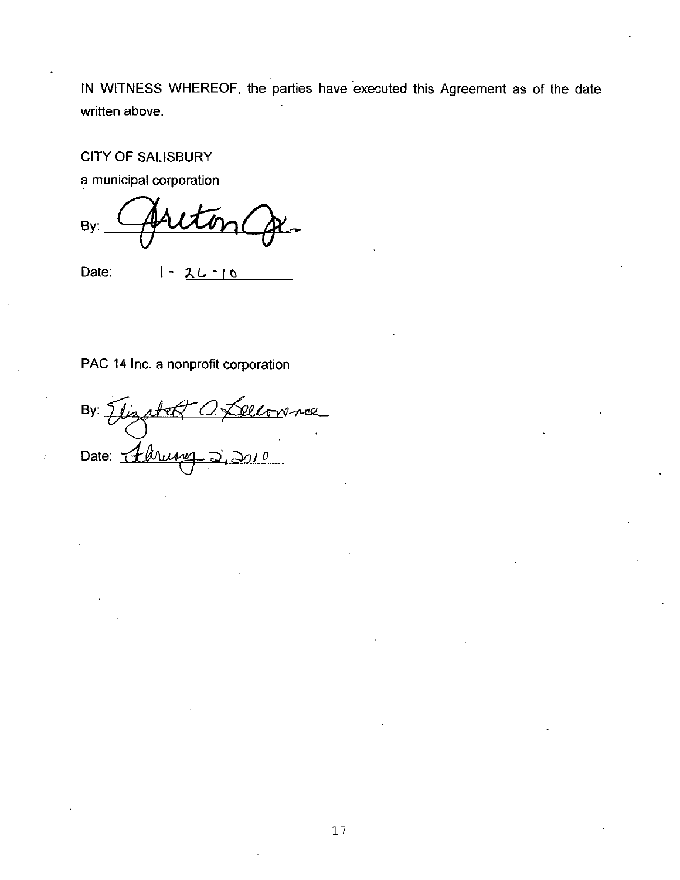IN WITNESS WHEREOF, the parties have executed this Agreement as of the date written above.

CITY OF SALISBURY

a municipal corporation

By:

Date:  $1 - 26 - 10$ 

#### PAC 14 Inc. a nonprofit corporation

By: Dat